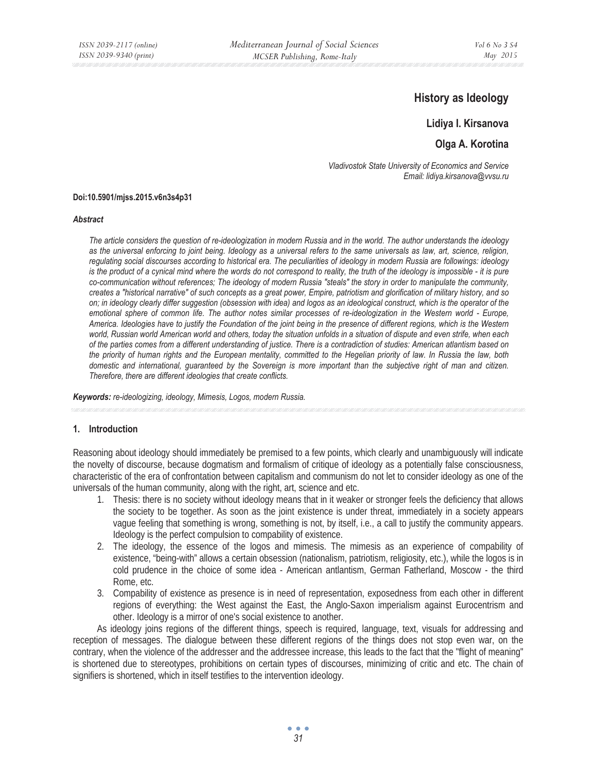# **History as Ideology**

**Lidiya I. Kirsanova** 

**Olga A. Korotina** 

*Vladivostok State University of Economics and Service Email: lidiya.kirsanova@vvsu.ru* 

#### **Doi:10.5901/mjss.2015.v6n3s4p31**

### *Abstract*

*The article considers the question of re-ideologization in modern Russia and in the world. The author understands the ideology as the universal enforcing to joint being. Ideology as a universal refers to the same universals as law, art, science, religion, regulating social discourses according to historical era. The peculiarities of ideology in modern Russia are followings: ideology is the product of a cynical mind where the words do not correspond to reality, the truth of the ideology is impossible - it is pure co-communication without references; The ideology of modern Russia "steals" the story in order to manipulate the community, creates a "historical narrative" of such concepts as a great power, Empire, patriotism and glorification of military history, and so on; in ideology clearly differ suggestion (obsession with idea) and logos as an ideological construct, which is the operator of the emotional sphere of common life. The author notes similar processes of re-ideologization in the Western world - Europe, America. Ideologies have to justify the Foundation of the joint being in the presence of different regions, which is the Western world, Russian world American world and others, today the situation unfolds in a situation of dispute and even strife, when each of the parties comes from a different understanding of justice. There is a contradiction of studies: American atlantism based on the priority of human rights and the European mentality, committed to the Hegelian priority of law. In Russia the law, both domestic and international, guaranteed by the Sovereign is more important than the subjective right of man and citizen. Therefore, there are different ideologies that create conflicts.* 

*Keywords: re-ideologizing, ideology, Mimesis, Logos, modern Russia.*

### **1. Introduction**

Reasoning about ideology should immediately be premised to a few points, which clearly and unambiguously will indicate the novelty of discourse, because dogmatism and formalism of critique of ideology as a potentially false consciousness, characteristic of the era of confrontation between capitalism and communism do not let to consider ideology as one of the universals of the human community, along with the right, art, science and etc.

- 1. Thesis: there is no society without ideology means that in it weaker or stronger feels the deficiency that allows the society to be together. As soon as the joint existence is under threat, immediately in a society appears vague feeling that something is wrong, something is not, by itself, i.e., a call to justify the community appears. Ideology is the perfect compulsion to compability of existence.
- 2. The ideology, the essence of the logos and mimesis. The mimesis as an experience of compability of existence, "being-with" allows a certain obsession (nationalism, patriotism, religiosity, etc.), while the logos is in cold prudence in the choice of some idea - American antlantism, German Fatherland, Moscow - the third Rome, etc.
- 3. Compability of existence as presence is in need of representation, exposedness from each other in different regions of everything: the West against the East, the Anglo-Saxon imperialism against Eurocentrism and other. Ideology is a mirror of one's social existence to another.

As ideology joins regions of the different things, speech is required, language, text, visuals for addressing and reception of messages. The dialogue between these different regions of the things does not stop even war, on the contrary, when the violence of the addresser and the addressee increase, this leads to the fact that the "flight of meaning" is shortened due to stereotypes, prohibitions on certain types of discourses, minimizing of critic and etc. The chain of signifiers is shortened, which in itself testifies to the intervention ideology.

> $\bullet$   $\bullet$   $\bullet$ *31*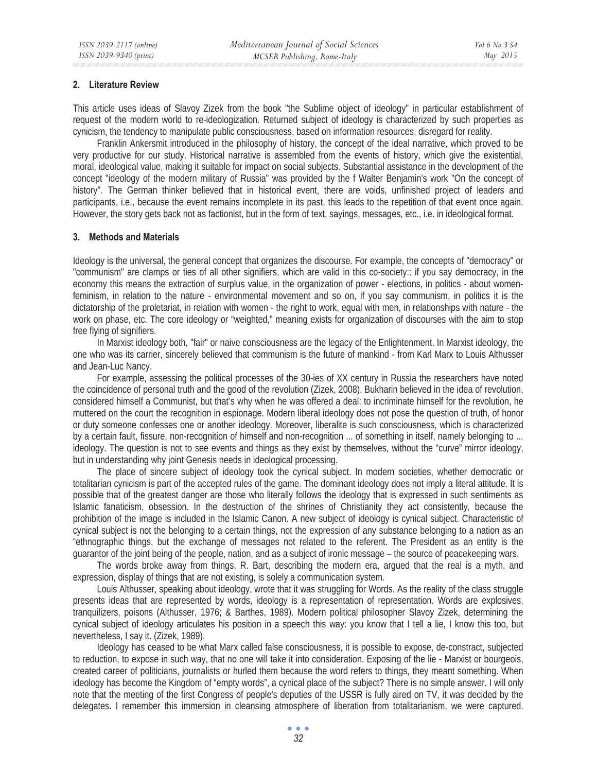## **2. Literature Review**

This article uses ideas of Slavoy Zizek from the book "the Sublime object of ideology" in particular establishment of request of the modern world to re-ideologization. Returned subject of ideology is characterized by such properties as cynicism, the tendency to manipulate public consciousness, based on information resources, disregard for reality.

Franklin Ankersmit introduced in the philosophy of history, the concept of the ideal narrative, which proved to be very productive for our study. Historical narrative is assembled from the events of history, which give the existential, moral, ideological value, making it suitable for impact on social subjects. Substantial assistance in the development of the concept "ideology of the modern military of Russia" was provided by the f Walter Benjamin's work "On the concept of history". The German thinker believed that in historical event, there are voids, unfinished project of leaders and participants, i.e., because the event remains incomplete in its past, this leads to the repetition of that event once again. However, the story gets back not as factionist, but in the form of text, sayings, messages, etc., i.e. in ideological format.

## **3. Methods and Materials**

Ideology is the universal, the general concept that organizes the discourse. For example, the concepts of "democracy" or "communism" are clamps or ties of all other signifiers, which are valid in this co-society:: if you say democracy, in the economy this means the extraction of surplus value, in the organization of power - elections, in politics - about womenfeminism, in relation to the nature - environmental movement and so on, if you say communism, in politics it is the dictatorship of the proletariat, in relation with women - the right to work, equal with men, in relationships with nature - the work on phase, etc. The core ideology or "weighted," meaning exists for organization of discourses with the aim to stop free flying of signifiers.

In Marxist ideology both, "fair" or naive consciousness are the legacy of the Enlightenment. In Marxist ideology, the one who was its carrier, sincerely believed that communism is the future of mankind - from Karl Marx to Louis Althusser and Jean-Luc Nancy.

For example, assessing the political processes of the 30-ies of XX century in Russia the researchers have noted the coincidence of personal truth and the good of the revolution (Zizek, 2008). Bukharin believed in the idea of revolution, considered himself a Communist, but that's why when he was offered a deal: to incriminate himself for the revolution, he muttered on the court the recognition in espionage. Modern liberal ideology does not pose the question of truth, of honor or duty someone confesses one or another ideology. Moreover, liberalite is such consciousness, which is characterized by a certain fault, fissure, non-recognition of himself and non-recognition ... of something in itself, namely belonging to ... ideology. The question is not to see events and things as they exist by themselves, without the "curve" mirror ideology, but in understanding why joint Genesis needs in ideological processing.

The place of sincere subject of ideology took the cynical subject. In modern societies, whether democratic or totalitarian cynicism is part of the accepted rules of the game. The dominant ideology does not imply a literal attitude. It is possible that of the greatest danger are those who literally follows the ideology that is expressed in such sentiments as Islamic fanaticism, obsession. In the destruction of the shrines of Christianity they act consistently, because the prohibition of the image is included in the Islamic Canon. A new subject of ideology is cynical subject. Characteristic of cynical subject is not the belonging to a certain things, not the expression of any substance belonging to a nation as an "ethnographic things, but the exchange of messages not related to the referent. The President as an entity is the guarantor of the joint being of the people, nation, and as a subject of ironic message – the source of peacekeeping wars.

The words broke away from things. R. Bart, describing the modern era, argued that the real is a myth, and expression, display of things that are not existing, is solely a communication system.

Louis Althusser, speaking about ideology, wrote that it was struggling for Words. As the reality of the class struggle presents ideas that are represented by words, ideology is a representation of representation. Words are explosives, tranquilizers, poisons (Althusser, 1976; & Barthes, 1989). Modern political philosopher Slavoy Zizek, determining the cynical subject of ideology articulates his position in a speech this way: you know that I tell a lie, I know this too, but nevertheless, I say it. (Zizek, 1989).

Ideology has ceased to be what Marx called false consciousness, it is possible to expose, de-constract, subjected to reduction, to expose in such way, that no one will take it into consideration. Exposing of the lie - Marxist or bourgeois, created career of politicians, journalists or hurled them because the word refers to things, they meant something. When ideology has become the Kingdom of "empty words", a cynical place of the subject? There is no simple answer. I will only note that the meeting of the first Congress of people's deputies of the USSR is fully aired on TV, it was decided by the delegates. I remember this immersion in cleansing atmosphere of liberation from totalitarianism, we were captured.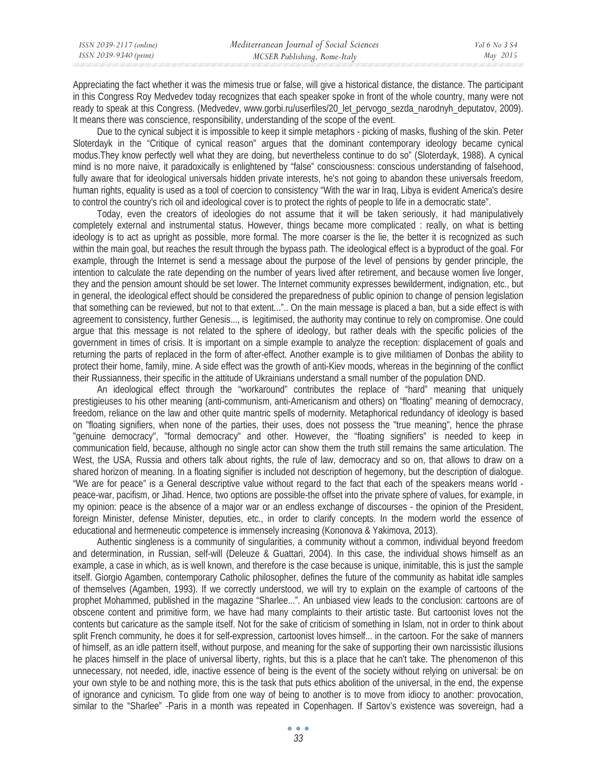| ISSN 2039-2117 (online) | Mediterranean Journal of Social Sciences | Vol 6 No 3 S4 |
|-------------------------|------------------------------------------|---------------|
| ISSN 2039-9340 (print)  | MCSER Publishing, Rome-Italy             | May 2015      |

Appreciating the fact whether it was the mimesis true or false, will give a historical distance, the distance. The participant in this Congress Roy Medvedev today recognizes that each speaker spoke in front of the whole country, many were not ready to speak at this Congress. (Medvedev, www.gorbi.ru/userfiles/20\_let\_pervogo\_sezda\_narodnyh\_deputatov, 2009). It means there was conscience, responsibility, understanding of the scope of the event.

Due to the cynical subject it is impossible to keep it simple metaphors - picking of masks, flushing of the skin. Peter Sloterdayk in the "Critique of cynical reason" argues that the dominant contemporary ideology became cynical modus.They know perfectly well what they are doing, but nevertheless continue to do so" (Sloterdayk, 1988). A cynical mind is no more naive, it paradoxically is enlightened by "false" consciousness: conscious understanding of falsehood, fully aware that for ideological universals hidden private interests, he's not going to abandon these universals freedom, human rights, equality is used as a tool of coercion to consistency "With the war in Iraq, Libya is evident America's desire to control the country's rich oil and ideological cover is to protect the rights of people to life in a democratic state".

Today, even the creators of ideologies do not assume that it will be taken seriously, it had manipulatively completely external and instrumental status. However, things became more complicated : really, on what is betting ideology is to act as upright as possible, more formal. The more coarser is the lie, the better it is recognized as such within the main goal, but reaches the result through the bypass path. The ideological effect is a byproduct of the goal. For example, through the Internet is send a message about the purpose of the level of pensions by gender principle, the intention to calculate the rate depending on the number of years lived after retirement, and because women live longer, they and the pension amount should be set lower. The Internet community expresses bewilderment, indignation, etc., but in general, the ideological effect should be considered the preparedness of public opinion to change of pension legislation that something can be reviewed, but not to that extent...".. On the main message is placed a ban, but a side effect is with agreement to consistency, further Genesis..., is legitimised, the authority may continue to rely on compromise. One could argue that this message is not related to the sphere of ideology, but rather deals with the specific policies of the government in times of crisis. It is important on a simple example to analyze the reception: displacement of goals and returning the parts of replaced in the form of after-effect. Another example is to give militiamen of Donbas the ability to protect their home, family, mine. A side effect was the growth of anti-Kiev moods, whereas in the beginning of the conflict their Russianness, their specific in the attitude of Ukrainians understand a small number of the population DND.

An ideological effect through the "workaround" contributes the replace of "hard" meaning that uniquely prestigieuses to his other meaning (anti-communism, anti-Americanism and others) on "floating" meaning of democracy, freedom, reliance on the law and other quite mantric spells of modernity. Metaphorical redundancy of ideology is based on "floating signifiers, when none of the parties, their uses, does not possess the "true meaning", hence the phrase "genuine democracy", "formal democracy" and other. However, the "floating signifiers" is needed to keep in communication field, because, although no single actor can show them the truth still remains the same articulation. The West, the USA, Russia and others talk about rights, the rule of law, democracy and so on, that allows to draw on a shared horizon of meaning. In a floating signifier is included not description of hegemony, but the description of dialogue. "We are for peace" is a General descriptive value without regard to the fact that each of the speakers means world peace-war, pacifism, or Jihad. Hence, two options are possible-the offset into the private sphere of values, for example, in my opinion: peace is the absence of a major war or an endless exchange of discourses - the opinion of the President, foreign Minister, defense Minister, deputies, etc., in order to clarify concepts. In the modern world the essence of educational and hermeneutic competence is immensely increasing (Kononova & Yakimova, 2013).

Authentic singleness is a community of singularities, a community without a common, individual beyond freedom and determination, in Russian, self-will (Deleuze & Guattari, 2004). In this case, the individual shows himself as an example, a case in which, as is well known, and therefore is the case because is unique, inimitable, this is just the sample itself. Giorgio Agamben, contemporary Catholic philosopher, defines the future of the community as habitat idle samples of themselves (Agamben, 1993). If we correctly understood, we will try to explain on the example of cartoons of the prophet Mohammed, published in the magazine "Sharlee...". An unbiased view leads to the conclusion: cartoons are of obscene content and primitive form, we have had many complaints to their artistic taste. But cartoonist loves not the contents but caricature as the sample itself. Not for the sake of criticism of something in Islam, not in order to think about split French community, he does it for self-expression, cartoonist loves himself... in the cartoon. For the sake of manners of himself, as an idle pattern itself, without purpose, and meaning for the sake of supporting their own narcissistic illusions he places himself in the place of universal liberty, rights, but this is a place that he can't take. The phenomenon of this unnecessary, not needed, idle, inactive essence of being is the event of the society without relying on universal: be on your own style to be and nothing more, this is the task that puts ethics abolition of the universal, in the end, the expense of ignorance and cynicism. To glide from one way of being to another is to move from idiocy to another: provocation, similar to the "Sharlee" -Paris in a month was repeated in Copenhagen. If Sartov's existence was sovereign, had a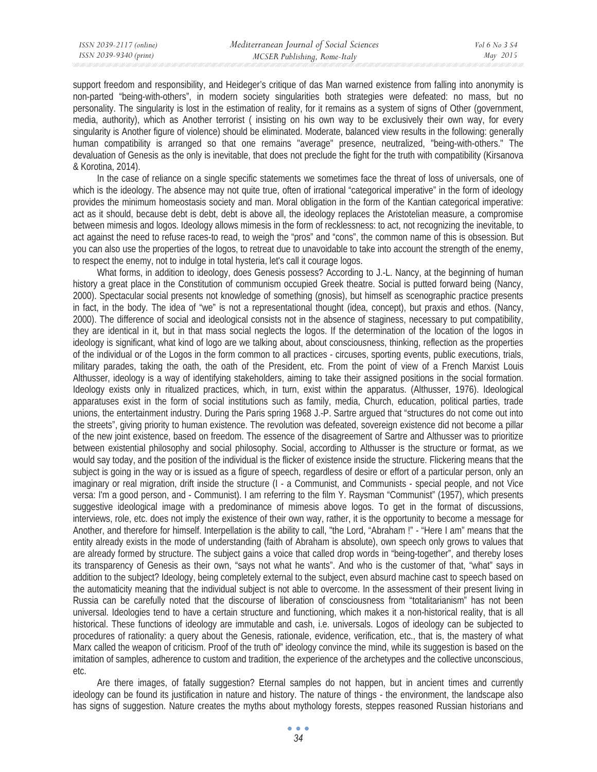support freedom and responsibility, and Heideger's critique of das Man warned existence from falling into anonymity is non-parted "being-with-others", in modern society singularities both strategies were defeated: no mass, but no personality. The singularity is lost in the estimation of reality, for it remains as a system of signs of Other (government, media, authority), which as Another terrorist ( insisting on his own way to be exclusively their own way, for every singularity is Another figure of violence) should be eliminated. Moderate, balanced view results in the following: generally human compatibility is arranged so that one remains "average" presence, neutralized, "being-with-others." The devaluation of Genesis as the only is inevitable, that does not preclude the fight for the truth with compatibility (Kirsanova & Korotina, 2014).

In the case of reliance on a single specific statements we sometimes face the threat of loss of universals, one of which is the ideology. The absence may not quite true, often of irrational "categorical imperative" in the form of ideology provides the minimum homeostasis society and man. Moral obligation in the form of the Kantian categorical imperative: act as it should, because debt is debt, debt is above all, the ideology replaces the Aristotelian measure, a compromise between mimesis and logos. Ideology allows mimesis in the form of recklessness: to act, not recognizing the inevitable, to act against the need to refuse races-to read, to weigh the "pros" and "cons", the common name of this is obsession. But you can also use the properties of the logos, to retreat due to unavoidable to take into account the strength of the enemy, to respect the enemy, not to indulge in total hysteria, let's call it courage logos.

What forms, in addition to ideology, does Genesis possess? According to J.-L. Nancy, at the beginning of human history a great place in the Constitution of communism occupied Greek theatre. Social is putted forward being (Nancy, 2000). Spectacular social presents not knowledge of something (gnosis), but himself as scenographic practice presents in fact, in the body. The idea of "we" is not a representational thought (idea, concept), but praxis and ethos. (Nancy, 2000). The difference of social and ideological consists not in the absence of staginess, necessary to put compatibility, they are identical in it, but in that mass social neglects the logos. If the determination of the location of the logos in ideology is significant, what kind of logo are we talking about, about consciousness, thinking, reflection as the properties of the individual or of the Logos in the form common to all practices - circuses, sporting events, public executions, trials, military parades, taking the oath, the oath of the President, etc. From the point of view of a French Marxist Louis Althusser, ideology is a way of identifying stakeholders, aiming to take their assigned positions in the social formation. Ideology exists only in ritualized practices, which, in turn, exist within the apparatus. (Althusser, 1976). Ideological apparatuses exist in the form of social institutions such as family, media, Church, education, political parties, trade unions, the entertainment industry. During the Paris spring 1968 J.-P. Sartre argued that "structures do not come out into the streets", giving priority to human existence. The revolution was defeated, sovereign existence did not become a pillar of the new joint existence, based on freedom. The essence of the disagreement of Sartre and Althusser was to prioritize between existential philosophy and social philosophy. Social, according to Althusser is the structure or format, as we would say today, and the position of the individual is the flicker of existence inside the structure. Flickering means that the subject is going in the way or is issued as a figure of speech, regardless of desire or effort of a particular person, only an imaginary or real migration, drift inside the structure (I - a Communist, and Communists - special people, and not Vice versa: I'm a good person, and - Communist). I am referring to the film Y. Raysman "Communist" (1957), which presents suggestive ideological image with a predominance of mimesis above logos. To get in the format of discussions, interviews, role, etc. does not imply the existence of their own way, rather, it is the opportunity to become a message for Another, and therefore for himself. Interpellation is the ability to call, "the Lord, "Abraham !" - "Here I am" means that the entity already exists in the mode of understanding (faith of Abraham is absolute), own speech only grows to values that are already formed by structure. The subject gains a voice that called drop words in "being-together", and thereby loses its transparency of Genesis as their own, "says not what he wants". And who is the customer of that, "what" says in addition to the subject? Ideology, being completely external to the subject, even absurd machine cast to speech based on the automaticity meaning that the individual subject is not able to overcome. In the assessment of their present living in Russia can be carefully noted that the discourse of liberation of consciousness from "totalitarianism" has not been universal. Ideologies tend to have a certain structure and functioning, which makes it a non-historical reality, that is all historical. These functions of ideology are immutable and cash, i.e. universals. Logos of ideology can be subjected to procedures of rationality: a query about the Genesis, rationale, evidence, verification, etc., that is, the mastery of what Marx called the weapon of criticism. Proof of the truth of" ideology convince the mind, while its suggestion is based on the imitation of samples, adherence to custom and tradition, the experience of the archetypes and the collective unconscious, etc.

Are there images, of fatally suggestion? Eternal samples do not happen, but in ancient times and currently ideology can be found its justification in nature and history. The nature of things - the environment, the landscape also has signs of suggestion. Nature creates the myths about mythology forests, steppes reasoned Russian historians and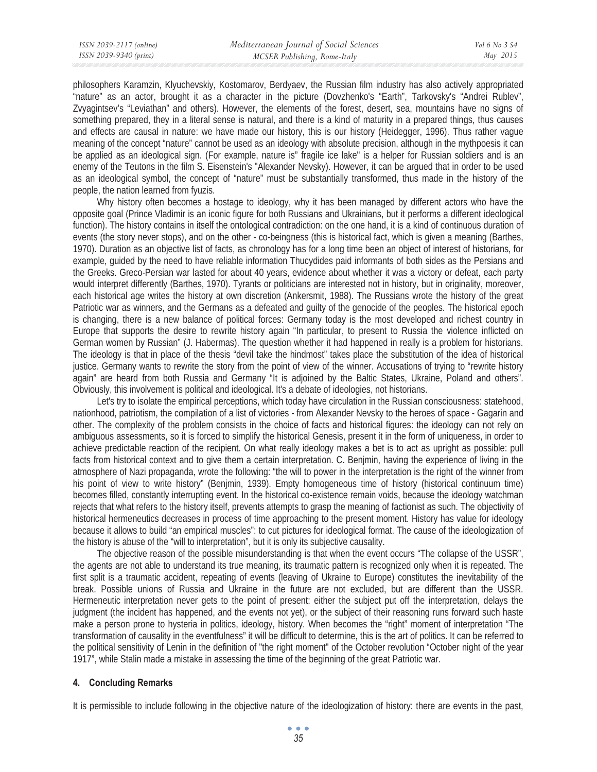philosophers Karamzin, Klyuchevskiy, Kostomarov, Berdyaev, the Russian film industry has also actively appropriated "nature" as an actor, brought it as a character in the picture (Dovzhenko's "Earth", Tarkovsky's "Andrei Rublev", Zvyagintsev's "Leviathan" and others). However, the elements of the forest, desert, sea, mountains have no signs of something prepared, they in a literal sense is natural, and there is a kind of maturity in a prepared things, thus causes and effects are causal in nature: we have made our history, this is our history (Heidegger, 1996). Thus rather vague meaning of the concept "nature" cannot be used as an ideology with absolute precision, although in the mythpoesis it can be applied as an ideological sign. (For example, nature is" fragile ice lake" is a helper for Russian soldiers and is an enemy of the Teutons in the film S. Eisenstein's "Alexander Nevsky). However, it can be argued that in order to be used as an ideological symbol, the concept of "nature" must be substantially transformed, thus made in the history of the people, the nation learned from fyuzis.

Why history often becomes a hostage to ideology, why it has been managed by different actors who have the opposite goal (Prince Vladimir is an iconic figure for both Russians and Ukrainians, but it performs a different ideological function). The history contains in itself the ontological contradiction: on the one hand, it is a kind of continuous duration of events (the story never stops), and on the other - co-beingness (this is historical fact, which is given a meaning (Barthes, 1970). Duration as an objective list of facts, as chronology has for a long time been an object of interest of historians, for example, guided by the need to have reliable information Thucydides paid informants of both sides as the Persians and the Greeks. Greco-Persian war lasted for about 40 years, evidence about whether it was a victory or defeat, each party would interpret differently (Barthes, 1970). Tyrants or politicians are interested not in history, but in originality, moreover, each historical age writes the history at own discretion (Ankersmit, 1988). The Russians wrote the history of the great Patriotic war as winners, and the Germans as a defeated and guilty of the genocide of the peoples. The historical epoch is changing, there is a new balance of political forces: Germany today is the most developed and richest country in Europe that supports the desire to rewrite history again "In particular, to present to Russia the violence inflicted on German women by Russian" (J. Habermas). The question whether it had happened in really is a problem for historians. The ideology is that in place of the thesis "devil take the hindmost" takes place the substitution of the idea of historical justice. Germany wants to rewrite the story from the point of view of the winner. Accusations of trying to "rewrite history again" are heard from both Russia and Germany "It is adjoined by the Baltic States, Ukraine, Poland and others". Obviously, this involvement is political and ideological. It's a debate of ideologies, not historians.

Let's try to isolate the empirical perceptions, which today have circulation in the Russian consciousness: statehood, nationhood, patriotism, the compilation of a list of victories - from Alexander Nevsky to the heroes of space - Gagarin and other. The complexity of the problem consists in the choice of facts and historical figures: the ideology can not rely on ambiguous assessments, so it is forced to simplify the historical Genesis, present it in the form of uniqueness, in order to achieve predictable reaction of the recipient. On what really ideology makes a bet is to act as upright as possible: pull facts from historical context and to give them a certain interpretation. C. Benjmin, having the experience of living in the atmosphere of Nazi propaganda, wrote the following: "the will to power in the interpretation is the right of the winner from his point of view to write history" (Benjmin, 1939). Empty homogeneous time of history (historical continuum time) becomes filled, constantly interrupting event. In the historical co-existence remain voids, because the ideology watchman rejects that what refers to the history itself, prevents attempts to grasp the meaning of factionist as such. The objectivity of historical hermeneutics decreases in process of time approaching to the present moment. History has value for ideology because it allows to build "an empirical muscles": to cut pictures for ideological format. The cause of the ideologization of the history is abuse of the "will to interpretation", but it is only its subjective causality.

The objective reason of the possible misunderstanding is that when the event occurs "The collapse of the USSR", the agents are not able to understand its true meaning, its traumatic pattern is recognized only when it is repeated. The first split is a traumatic accident, repeating of events (leaving of Ukraine to Europe) constitutes the inevitability of the break. Possible unions of Russia and Ukraine in the future are not excluded, but are different than the USSR. Hermeneutic interpretation never gets to the point of present: either the subject put off the interpretation, delays the judgment (the incident has happened, and the events not yet), or the subject of their reasoning runs forward such haste make a person prone to hysteria in politics, ideology, history. When becomes the "right" moment of interpretation "The transformation of causality in the eventfulness" it will be difficult to determine, this is the art of politics. It can be referred to the political sensitivity of Lenin in the definition of "the right moment" of the October revolution "October night of the year 1917", while Stalin made a mistake in assessing the time of the beginning of the great Patriotic war.

## **4. Concluding Remarks**

It is permissible to include following in the objective nature of the ideologization of history: there are events in the past,